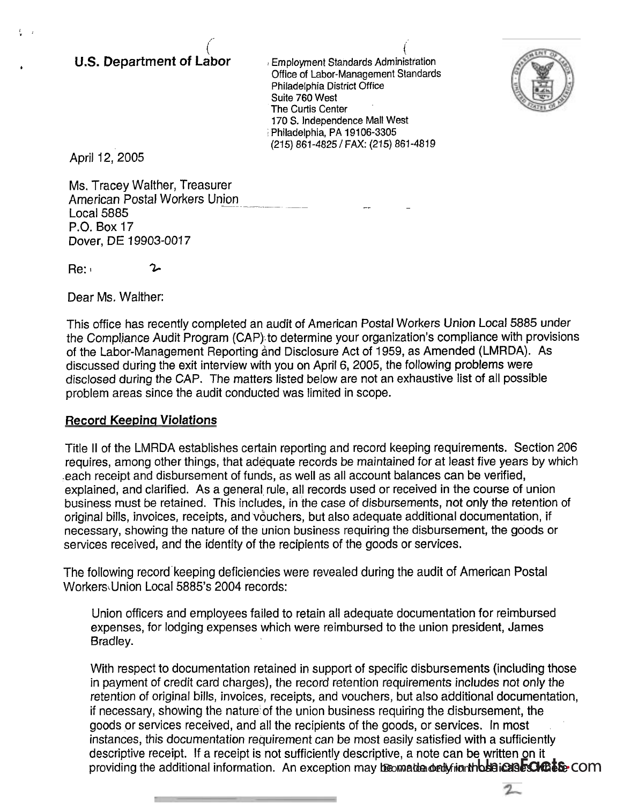## $\binom{1}{2}$ U.S. Department **of Labor**

 $\left($ . ! Employment Standards Administration Office of Labor-Management Standards Philadelphia District Office Suite 760 West The Curtis Center 170 S. Independence Mall West ; Philadelphia, PA **191** 06-3305 (215) 861-4825 /FAX: (215) 861-4819



 $\mathcal{I}_{-}$ 

April 12,2005

**i,** )I - /-

Ms. Tracey Walther, Treasurer American Postal Workers Union - - --- -- -- Local 5885 - P.O. Box 17 Dover, DE 19903-0017

 $Re: 2$ 

Dear Ms. Walther:

This office has recently completed an audit of American Postal Workers Union Local 5885 under the Compliance Audit Program (CAP). to determine your organization's compliance with provisions of the Labor-Management Reporting and Disclosure Act of 1959, as Amended (LMRDA). As discussed during the exit interview with you on April 6, 2005, the following problems were disclosed during the CAP. The matters listed below are not an exhaustive list of all possible problem areas since the audit conducted was limited in scope.

## Record **Keepinq** Violations

Title II of the LMRDA establishes certain reporting and record keeping requirements. Section 206 requires, among other things, that adequate records be maintained for at least five years by which .each receipt and disbursement of funds, as well as all account balances can be verified, explained, and clarified. As a general rule, all records used or received in the course of union business must be retained. This includes, in the case of disbursements, not only the retention of original bills, invoices, receipts, and vouchers, but also adequate additional documentation, if necessary, showing the nature of the union business requiring the disbursement, the goods or services received, and the identity of the recipients of the goods or services.

The following record'keeping deficiencies were revealed during the audit of American Postal Workers Union Local 5885's 2004 records:

Union officers and employees failed to retain all adequate documentation for reimbursed expenses, for lodging expenses which were reimbursed to the union president, James Bradley.

With respect to documentation retained in support of specific disbursements (including those in payment of credit card charges), the record retention requirements includes not only the retention of original bills, invoices, receipts, and vouchers, but also additional documentation, if necessary, showing the nature of the union business requiring the disbursement, the goods or services received, and all the recipients of the goods, or services. In most instances, this documentation requirement can be most easily satisfied with a sufficiently descriptive receipt. If a receipt is not sufficiently descriptive, a note can be written on it providing the additional information. An exception may be made only in th**bse case OrDise**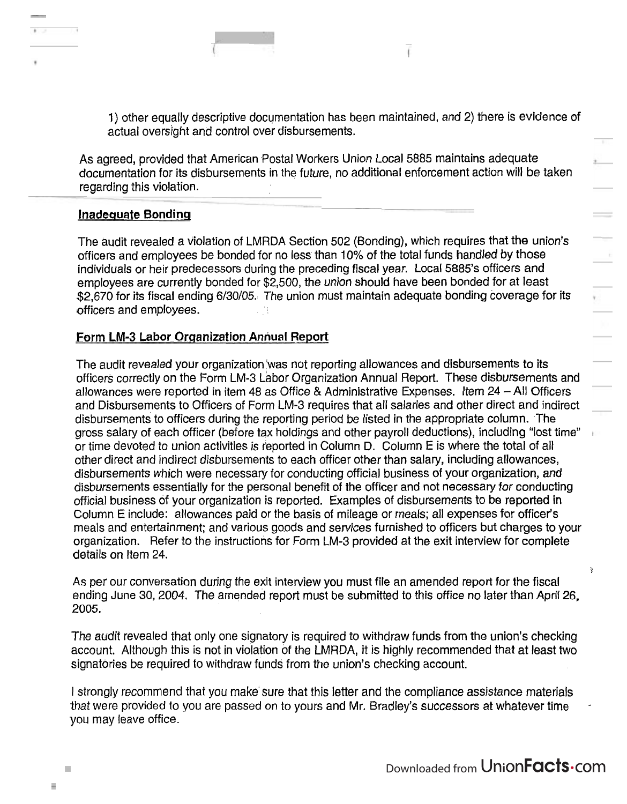**r(** 

1) other equally descriptive documentation has been maintained, and 2) there is evidence of actual oversight and control over disbursements.

As agreed, provided that American Postal Workers Union Local 5885 maintains adequate documentation for its disbursements in the future, no additional enforcement action will be taken regarding this violation.

## **Inadequate Bonding**

The audit revealed a violation of LMRDA Section 502 (Bonding), which requires that the union's officers and employees be bonded for no less than 10% of the total funds handled by those individuals or heir predecessors during the preceding fiscal year. Local 5885's officers and employees are currently bonded for \$2,500, the union should have been bonded for at least \$2,670 for its fiscal ending 6/30/05. The union must maintain adequate bonding coverage for its officers and employees.

## Form **LM-3 Labor Organization Annual Report**

The audit revealed your organization 'was not reporting allowances and disbursements to its officers correctly on the Form LM-3 Labor Organization Annual Report. These disbursements and allowances were reported in item 48 as Office & Administrative Expenses. Item 24 - All Officers and Disbursements to Officers of Form LM-3 requires that all salaries and other direct and indirect disbursements to officers during the reporting period be listed in the appropriate column. The gross salary of each officer (before tax holdings and other payroll deductions), including "lost time'' or time devoted to union activities is reported in Column D. Column E is where the total of all other direct and indirect disbursements to each officer other than salary, including allowances, disbursements which were necessary for conducting official business of your organization, and disbursements essentially for the personal benefit of the officer and not necessary for conducting official business of your organization is reported. Examples of disbursements to be reported in Column E include: allowances paid or the basis of mileage or meals; all expenses for officer's meals and entertainment; and various goods and services furnished to officers but charges to your organization. Refer to the instructions for Form LM-3 provided at the exit interview for complete details on ltem 24.

As per our conversation during the exit interview you must file an amended report for the fiscal ending June 30,2004. The amended report must be submitted to this office no later than April 26, 2005.

The audit revealed that only one signatory is required to withdraw funds from the union's checking account. Although this is not in violation of the LMRDA, it is highly recommended that at least two signatories be required to withdraw funds from the union's checking account.

1 strongly recommend that you make sure that this letter and the compliance assistance materials that were provided to you are passed on to yours and Mr. Bradley's successors at whatever time you may leave office.

T.

L.